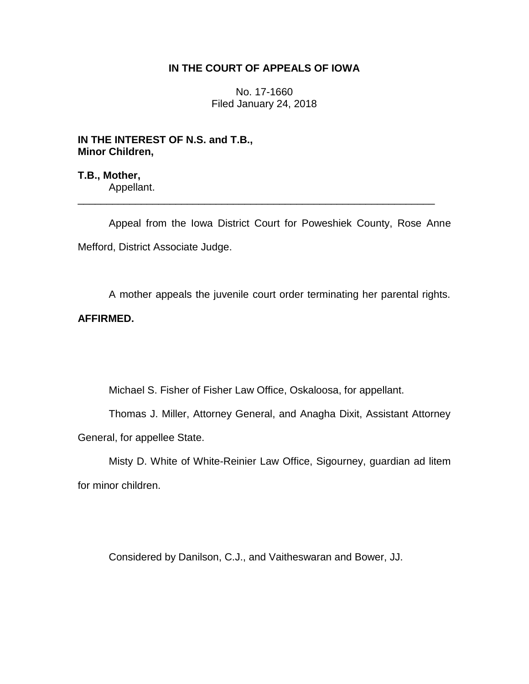## **IN THE COURT OF APPEALS OF IOWA**

No. 17-1660 Filed January 24, 2018

# **IN THE INTEREST OF N.S. and T.B., Minor Children,**

**T.B., Mother,** Appellant. \_\_\_\_\_\_\_\_\_\_\_\_\_\_\_\_\_\_\_\_\_\_\_\_\_\_\_\_\_\_\_\_\_\_\_\_\_\_\_\_\_\_\_\_\_\_\_\_\_\_\_\_\_\_\_\_\_\_\_\_\_\_

Appeal from the Iowa District Court for Poweshiek County, Rose Anne Mefford, District Associate Judge.

A mother appeals the juvenile court order terminating her parental rights.

## **AFFIRMED.**

Michael S. Fisher of Fisher Law Office, Oskaloosa, for appellant.

Thomas J. Miller, Attorney General, and Anagha Dixit, Assistant Attorney General, for appellee State.

Misty D. White of White-Reinier Law Office, Sigourney, guardian ad litem for minor children.

Considered by Danilson, C.J., and Vaitheswaran and Bower, JJ.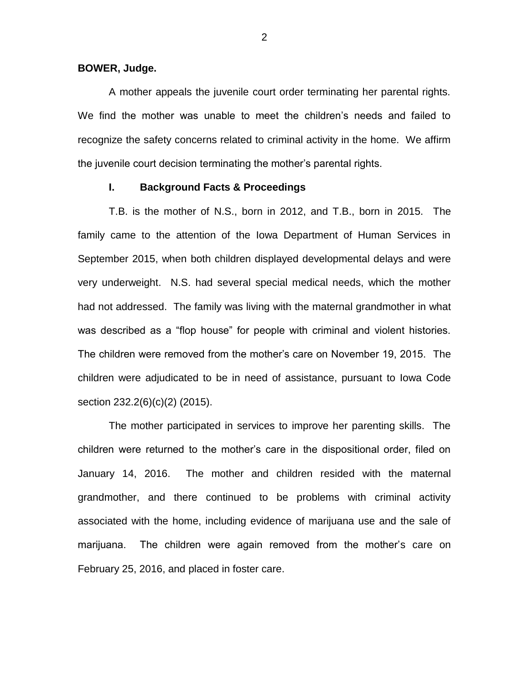### **BOWER, Judge.**

A mother appeals the juvenile court order terminating her parental rights. We find the mother was unable to meet the children's needs and failed to recognize the safety concerns related to criminal activity in the home. We affirm the juvenile court decision terminating the mother's parental rights.

## **I. Background Facts & Proceedings**

T.B. is the mother of N.S., born in 2012, and T.B., born in 2015. The family came to the attention of the Iowa Department of Human Services in September 2015, when both children displayed developmental delays and were very underweight. N.S. had several special medical needs, which the mother had not addressed. The family was living with the maternal grandmother in what was described as a "flop house" for people with criminal and violent histories. The children were removed from the mother's care on November 19, 2015. The children were adjudicated to be in need of assistance, pursuant to Iowa Code section 232.2(6)(c)(2) (2015).

The mother participated in services to improve her parenting skills. The children were returned to the mother's care in the dispositional order, filed on January 14, 2016. The mother and children resided with the maternal grandmother, and there continued to be problems with criminal activity associated with the home, including evidence of marijuana use and the sale of marijuana. The children were again removed from the mother's care on February 25, 2016, and placed in foster care.

2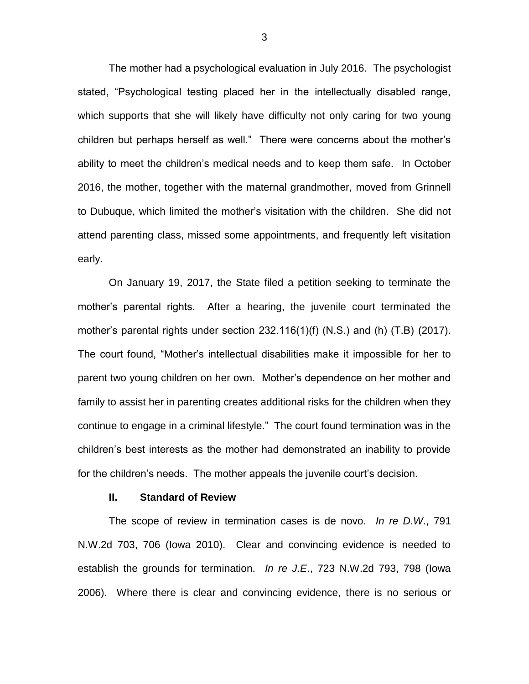The mother had a psychological evaluation in July 2016. The psychologist stated, "Psychological testing placed her in the intellectually disabled range, which supports that she will likely have difficulty not only caring for two young children but perhaps herself as well." There were concerns about the mother's ability to meet the children's medical needs and to keep them safe. In October 2016, the mother, together with the maternal grandmother, moved from Grinnell to Dubuque, which limited the mother's visitation with the children. She did not attend parenting class, missed some appointments, and frequently left visitation early.

On January 19, 2017, the State filed a petition seeking to terminate the mother's parental rights. After a hearing, the juvenile court terminated the mother's parental rights under section 232.116(1)(f) (N.S.) and (h) (T.B) (2017). The court found, "Mother's intellectual disabilities make it impossible for her to parent two young children on her own. Mother's dependence on her mother and family to assist her in parenting creates additional risks for the children when they continue to engage in a criminal lifestyle." The court found termination was in the children's best interests as the mother had demonstrated an inability to provide for the children's needs. The mother appeals the juvenile court's decision.

#### **II. Standard of Review**

The scope of review in termination cases is de novo. *In re D.W*., 791 N.W.2d 703, 706 (Iowa 2010). Clear and convincing evidence is needed to establish the grounds for termination. *In re J.E*., 723 N.W.2d 793, 798 (Iowa 2006). Where there is clear and convincing evidence, there is no serious or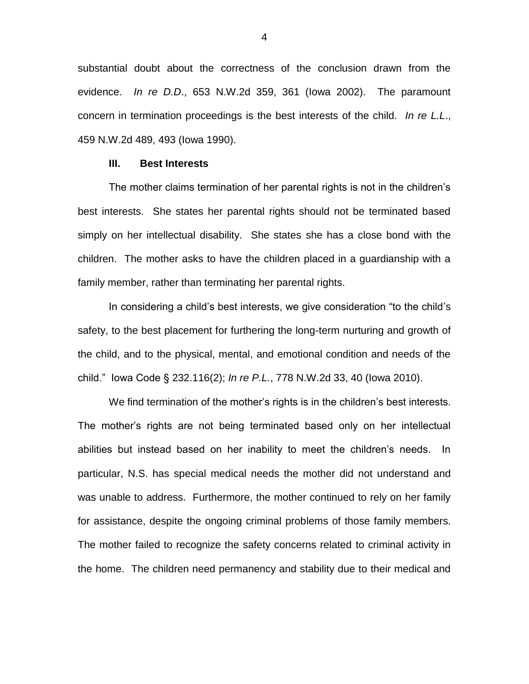substantial doubt about the correctness of the conclusion drawn from the evidence. *In re D.D*., 653 N.W.2d 359, 361 (Iowa 2002). The paramount concern in termination proceedings is the best interests of the child. *In re L.L*., 459 N.W.2d 489, 493 (Iowa 1990).

#### **III. Best Interests**

The mother claims termination of her parental rights is not in the children's best interests. She states her parental rights should not be terminated based simply on her intellectual disability. She states she has a close bond with the children. The mother asks to have the children placed in a guardianship with a family member, rather than terminating her parental rights.

In considering a child's best interests, we give consideration "to the child's safety, to the best placement for furthering the long-term nurturing and growth of the child, and to the physical, mental, and emotional condition and needs of the child." Iowa Code § 232.116(2); *In re P.L.*, 778 N.W.2d 33, 40 (Iowa 2010).

We find termination of the mother's rights is in the children's best interests. The mother's rights are not being terminated based only on her intellectual abilities but instead based on her inability to meet the children's needs. In particular, N.S. has special medical needs the mother did not understand and was unable to address. Furthermore, the mother continued to rely on her family for assistance, despite the ongoing criminal problems of those family members. The mother failed to recognize the safety concerns related to criminal activity in the home. The children need permanency and stability due to their medical and